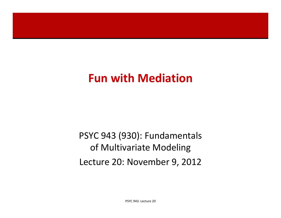## **Fun with Mediation**

## PSYC 943 (930): Fundamentals of Multivariate Modeling Lecture 20: November 9, 2012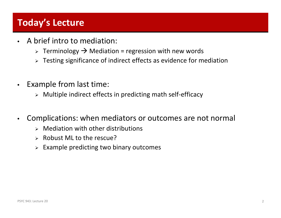### **Today's Lecture**

- •• A brief intro to mediation:
	- $\triangleright$  Terminology  $\rightarrow$  Mediation = regression with new words
	- Testing significance of indirect effects as evidence for mediation
- $\bullet$  Example from last time:
	- Multiple indirect effects in predicting math self‐efficacy
- $\bullet$  Complications: when mediators or outcomes are not normal
	- $\triangleright$  Mediation with other distributions
	- $\triangleright$  Robust ML to the rescue?
	- $\triangleright$  Example predicting two binary outcomes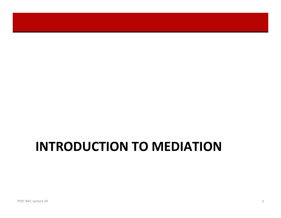# **INTRODUCTION TO MEDIATION**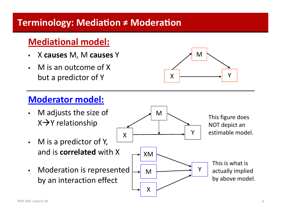### **Terminology: MediaƟon <sup>≠</sup>ModeraƟon**

### **Mediational model:**

- $\bullet$ X **causes** M, M **causes** Y
- • M is an outcome of X but a predictor of Y



- $\bullet$  M adjusts the size of  $X \rightarrow Y$  relationship
- $\bullet$  M is <sup>a</sup> predictor of Y, and is **correlated** with X
- $\bullet$  Moderation is represented by an interaction effect



X

M

Y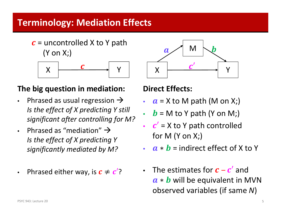### **Terminology: Mediation Effects**

 $\boldsymbol{c}$  = uncontrolled X to Y path (Y on X;)



### **The big question in mediation:**

- $\bullet$ • Phrased as usual regression  $\rightarrow$ *Is the effect of X predicting Y still significant after controlling for M?*
- •• Phrased as "mediation"  $\rightarrow$ *Is the effect of X predicting Y significantly mediated by M?*
- •• Phrased either way, is  $\boldsymbol{c} \neq \boldsymbol{c}'$ ?



### **Direct Effects:**

- ••  $a$  = X to M path (M on X;)
- ••  $\bm{b}$  = M to Y path (Y on M;)
- ••  $c'$  = X to Y path controlled for M (Y on X;)
- ••  $\boldsymbol{a} * \boldsymbol{b}$  = indirect effect of X to Y
- •• The estimates for  $\boldsymbol{c}$  –  $\boldsymbol{c}^\prime$  and  $a * b$  will be equivalent in MVN observed variables (if same *N*)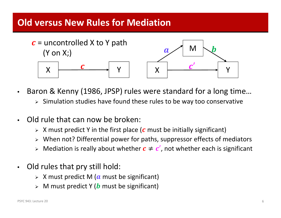### **Old versus New Rules for Mediation**



- $\bullet$  Baron & Kenny (1986, JPSP) rules were standard for <sup>a</sup> long time…
	- $\triangleright$  Simulation studies have found these rules to be way too conservative
- •• Old rule that can now be broken:
	- $\triangleright$  X must predict Y in the first place (c must be initially significant)
	- When not? Differential power for paths, suppressor effects of mediators
	- $\triangleright$  Mediation is really about whether  $\boldsymbol{c} \neq \boldsymbol{c}'$ , not whether each is significant
- • Old rules that pry still hold:
	- $\triangleright$  X must predict M ( $\boldsymbol{a}$  must be significant)
	- $\triangleright$  M must predict Y ( $\bm{b}$  must be significant)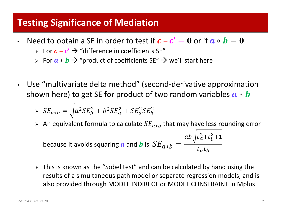- •• Need to obtain a SE in order to test if  $\bm{c}-\bm{c}'=\bm{0}$  or if  $\bm{a}*\bm{b}=\bm{0}$ 
	- $\triangleright$  For  $\boldsymbol{c}$   $\boldsymbol{c}'$   $\rightarrow$  "difference in coefficients SE"
	- ► For  $a * b \to$  "product of coefficients SE"  $\to$  we'll start here
- $\bullet$  Use "multivariate delta method" (second‐derivative approximation shown here) to get SE for product of two random variables  $\boldsymbol{a} * \boldsymbol{b}$

$$
\Rightarrow SE_{a*b} = \sqrt{a^2 SE_b^2 + b^2 SE_a^2 + SE_a^2 SE_b^2}
$$

▶ An equivalent formula to calculate 
$$
SE_{a*b}
$$
 that may have less rounding error  
because it avoids squaring **a** and **b** is  $SE_{a*b} = \frac{ab\sqrt{t_a^2 + t_b^2 + 1}}{t_a t_b}$ 

 This is known as the "Sobel test" and can be calculated by hand using the results of <sup>a</sup> simultaneous path model or separate regression models, and is also provided through MODEL INDIRECT or MODEL CONSTRAINT in Mplus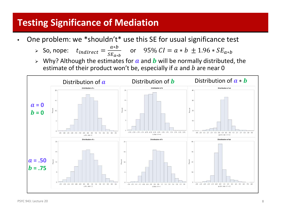- • One problem: we \*shouldn't\* use this SE for usual significance test
	- $\triangleright$  So, nope:  $t_{indirect}$  $v_{t} = \frac{a*b}{sE_{a*b}}$  or 95%  $CI = a*b \pm 1.96 * SE_{a*b}$
	- $\triangleright$  Why? Although the estimates for  $\boldsymbol{a}$  and  $\boldsymbol{b}$  will be normally distributed, the estimate of their product won't be, especially if  $a$  and  $b$  are near 0

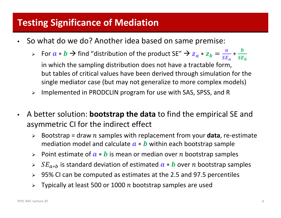- $\bullet$ • So what do we do? Another idea based on same premise:
	- ► For  $a * b \to$  find "distribution of the product SE"  $\to z_a * z_b = \frac{a}{s E_a} * \frac{b}{s E_b}$

in which the sampling distribution does not have <sup>a</sup> tractable form, but tables of critical values have been derived through simulation for the single mediator case (but may not generalize to more complex models)

- $\blacktriangleright$ Implemented in PRODCLIN program for use with SAS, SPSS, and R
- $\bullet$  A better solution: **bootstrap the data** to find the empirical SE and asymmetric CI for the indirect effect
	- $\blacktriangleright$ Bootstrap = draw  $n$  samples with replacement from your **data**, re-estimate mediation model and calculate  $\boldsymbol{a} * \boldsymbol{b}$  within each bootstrap sample
	- > Point estimate of  $\boldsymbol{a} * \boldsymbol{b}$  is mean or median over n bootstrap samples
	- $\blacktriangleright$  $\triangleright$   $SE_{a*b}$  is standard deviation of estimated  $\boldsymbol{a} * \boldsymbol{b}$  over n bootstrap samples
	- $\blacktriangleright$ 95% CI can be computed as estimates at the 2.5 and 97.5 percentiles
	- $\blacktriangleright$ Typically at least 500 or 1000  $n$  bootstrap samples are used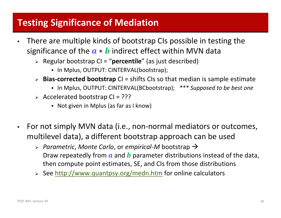- $\bullet$  There are multiple kinds of bootstrap CIs possible in testing the significance of the  $\boldsymbol{a} * \boldsymbol{b}$  indirect effect within MVN data
	- Regular bootstrap CI <sup>=</sup> "**percentile**" (as just described)
		- In Mplus, OUTPUT: CINTERVAL(bootstrap);
	- **Bias‐corrected bootstrap** CI <sup>=</sup> shifts CIs so that median is sample estimate
		- In Mplus, OUTPUT: CINTERVAL(BCbootstrap); *\*\*\* Supposed to be best one*
	- $\triangleright$  Accelerated bootstrap CI = ???
		- Not given in Mplus (as far as I know)
- $\bullet$  For not simply MVN data (i.e., non‐normal mediators or outcomes, multilevel data), <sup>a</sup> different bootstrap approach can be used
	- *Parametric*, *Monte Carlo*, or *empirical‐<sup>M</sup>* bootstrap Draw repeatedly from  $\boldsymbol{a}$  and  $\boldsymbol{b}$  parameter distributions instead of the data, then compute point estimates, SE, and CIs from those distributions
	- > See http://www.quantpsy.org/medn.htm for online calculators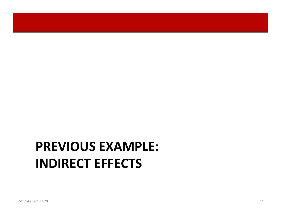# **PREVIOUS EXAMPLE: INDIRECT EFFECTS**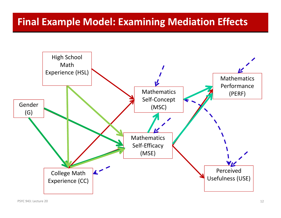## **Final Example Model: Examining Mediation Effects**

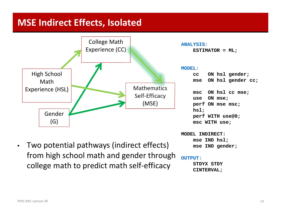### **MSE Indirect Effects, Isolated**



• Two potential pathways (indirect effects) from high school math and gender through college math to predict math self‐efficacy

**MODEL INDIRECT:mse IND hsl;**

**mse IND gender;**

### **OUTPUT:**

**STDYX STDYCINTERVAL;**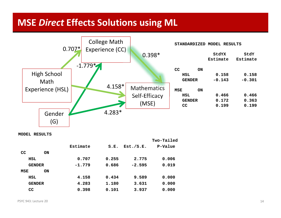### **MSE** *Direct* **Effects Solutions using ML**



**MODEL RESULTS**

|               |           |          |       |           | Two-Tailed |
|---------------|-----------|----------|-------|-----------|------------|
|               |           | Estimate | S.E.  | Est./S.E. | P-Value    |
| CC            | <b>ON</b> |          |       |           |            |
| HSL           |           | 0.707    | 0.255 | 2.775     | 0.006      |
| <b>GENDER</b> |           | $-1.779$ | 0.686 | $-2.595$  | 0.019      |
| MSE           | <b>ON</b> |          |       |           |            |
| HSL           |           | 4.158    | 0.434 | 9.589     | 0.000      |
| <b>GENDER</b> |           | 4.283    | 1.180 | 3.631     | 0.000      |
| <b>CC</b>     |           | 0.398    | 0.101 | 3.937     | 0.000      |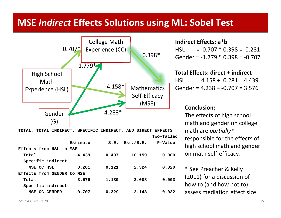### **MSE** *Indirect* **Effects Solutions using ML: Sobel Test**



**Total 3.576 1.189 3.008 0.003**

**MSE CC GENDER -0.707 0.329 -2.148 0.032**

#### **Indirect Effects: <sup>a</sup>\*b**HSL <sup>=</sup> $= 0.707 * 0.398 = 0.281$ Gender <sup>=</sup> ‐1.779 \* 0.398 <sup>=</sup> ‐0.707

### **Total Effects: direct + indirect**

**HSL**  <sup>=</sup> 4.158 <sup>+</sup> 0.281 <sup>=</sup> 4.439 Gender <sup>=</sup> 4.238 <sup>+</sup> ‐0.707 <sup>=</sup> 3.576

### **Conclusion:**

The effects of high school math and gender on college math are *partially\** responsible for the effects of high school math and gender on math self‐efficacy.

\* See Preacher & Kelly (2011) for <sup>a</sup> discussion of how to (and how not to) assess mediation effect size

**Specific indirect**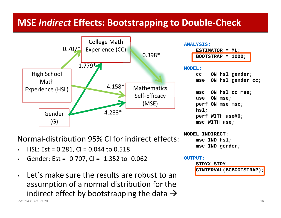### **MSE** *Indirect* **Effects: Bootstrapping to Double‐Check**



Normal‐distribution 95% CI for indirect effects:

- •HSL: Est <sup>=</sup> 0.281, CI <sup>=</sup> 0.044 to 0.518
- •Gender: Est <sup>=</sup> ‐0.707, CI <sup>=</sup> ‐1.352 to ‐0.062
- • Let's make sure the results are robust to an assumption of <sup>a</sup> normal distribution for the indirect effect by bootstrapping the data  $\rightarrow$

PSYC 943: Lecture 20 943: Lecture 20 16

**MODEL INDIRECT:**

**OUTPUT:**

**mse IND hsl;**

**STDYX STDY**

**mse IND gender;**

**CINTERVAL(BCBOOTSTRAP);**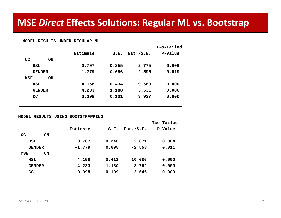#### **MODEL RESULTS UNDER REGULAR ML**

|     |               |          |       |           | Two-Tailed |
|-----|---------------|----------|-------|-----------|------------|
|     |               | Estimate | S.E.  | Est./S.E. | P-Value    |
| CC  | <b>ON</b>     |          |       |           |            |
|     | HSL           | 0.707    | 0.255 | 2.775     | 0.006      |
|     | <b>GENDER</b> | $-1.779$ | 0.686 | $-2.595$  | 0.019      |
| MSE | <b>ON</b>     |          |       |           |            |
|     | HSL           | 4.158    | 0.434 | 9.589     | 0.000      |
|     | <b>GENDER</b> | 4.283    | 1.180 | 3.631     | 0.000      |
| CC  |               | 0.398    | 0.101 | 3.937     | 0.000      |
|     |               |          |       |           |            |

#### **MODEL RESULTS USING BOOTSTRAPPING**

|               |           |          |       |           | Two-Tailed |
|---------------|-----------|----------|-------|-----------|------------|
|               |           | Estimate | S.E.  | Est./S.E. | P-Value    |
| CC            | <b>ON</b> |          |       |           |            |
| HSL           |           | 0.707    | 0.246 | 2.871     | 0.004      |
| <b>GENDER</b> |           | $-1.779$ | 0.695 | $-2.558$  | 0.011      |
| MSE           | <b>ON</b> |          |       |           |            |
| HSL           |           | 4.158    | 0.412 | 10.086    | 0.000      |
| <b>GENDER</b> |           | 4.283    | 1.130 | 3.792     | 0.000      |
| <b>CC</b>     |           | 0.398    | 0.109 | 3.645     | 0.000      |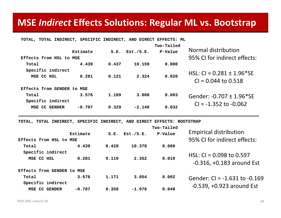### **MSE** *Indirect* **Effects Solutions: Regular ML vs. Bootstrap**

| TOTAL, TOTAL INDIRECT, SPECIFIC INDIRECT, AND DIRECT EFFECTS: ML |          |       |           |                       |                                                                     |
|------------------------------------------------------------------|----------|-------|-----------|-----------------------|---------------------------------------------------------------------|
| Effects from HSL to MSE                                          | Estimate | S.E.  | Est./S.E. | Two-Tailed<br>P-Value | Normal distribution<br>95% CI for indirect effects:                 |
| Total                                                            | 4.439    | 0.437 | 10.159    | 0.000                 |                                                                     |
| Specific indirect<br>MSE CC HSL                                  | 0.281    | 0.121 | 2.324     | 0.020                 | HSL: CI = $0.281 \pm 1.96$ <sup>*</sup> SE<br>$Cl = 0.044$ to 0.518 |
| Effects from GENDER to                                           | MSE      |       |           |                       |                                                                     |
| Total                                                            | 3.576    | 1.189 | 3,008     | 0.003                 | Gender: -0.707 ± 1.96*SE                                            |
| Specific indirect                                                |          |       |           |                       | $Cl = -1.352$ to $-0.062$                                           |
| MSE CC GENDER                                                    | $-0.707$ | 0.329 | $-2.148$  | 0.032                 |                                                                     |

**TOTAL, TOTAL INDIRECT, SPECIFIC INDIRECT, AND DIRECT EFFECTS: BOOTSTRAP**

| Effects from HSL to MSE         | Estimate | S.E.  | Est./S.E. | Two-Tailed<br>P-Value | <b>Empirical distribution</b><br>95% CI for indirect effects: |
|---------------------------------|----------|-------|-----------|-----------------------|---------------------------------------------------------------|
|                                 |          |       |           |                       |                                                               |
| Total                           | 4.439    | 0.428 | 10.378    | 0.000                 |                                                               |
| Specific indirect<br>MSE CC HSL | 0.281    | 0.119 | 2.352     | 0.019                 | HSL: $CI = 0.098$ to 0.597<br>$-0.316$ , $+0.183$ around Est  |
| Effects from GENDER to MSE      |          |       |           |                       |                                                               |
| Total                           | 3.576    | 1.171 | 3.054     | 0.002                 | Gender: $Cl = -1.631$ to $-0.169$                             |
| Specific indirect               |          |       |           |                       |                                                               |
| <b>MSE CC GENDER</b>            | $-0.707$ | 0.358 | $-1.976$  | 0.048                 | $-0.539$ , $+0.923$ around Est                                |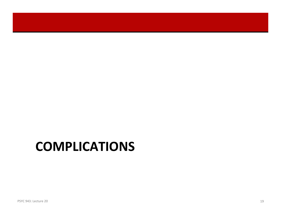## **COMPLICATIONS**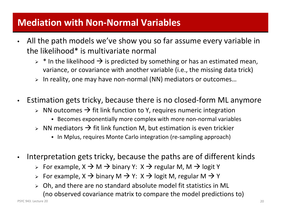### **Mediation with Non‐Normal Variables**

- • All the path models we've show you so far assume every variable in the likelihood\* is multivariate normal
	- $\triangleright$  \* In the likelihood  $\rightarrow$  is predicted by something or has an estimated mean, variance, or covariance with another variable (i.e., the missing data trick)
	- In reality, one may have non‐normal (NN) mediators or outcomes…
- $\bullet$  Estimation gets tricky, because there is no closed‐form ML anymore
	- $\triangleright$  NN outcomes  $\rightarrow$  fit link function to Y, requires numeric integration
		- ◆ Becomes exponentially more complex with more non-normal variables
	- $\triangleright$  NN mediators  $\rightarrow$  fit link function M, but estimation is even trickier
		- ◆ In Mplus, requires Monte Carlo integration (re-sampling approach)
- $\bullet$  Interpretation gets tricky, because the paths are of different kinds
	- > For example, X  $\rightarrow$  M  $\rightarrow$  binary Y: X  $\rightarrow$  regular M, M  $\rightarrow$  logit Y
	- > For example, X  $\rightarrow$  binary M  $\rightarrow$  Y: X  $\rightarrow$  logit M, regular M  $\rightarrow$  Y
	- Oh, and there are no standard absolute model fit statistics in ML (no observed covariance matrix to compare the model predictions to)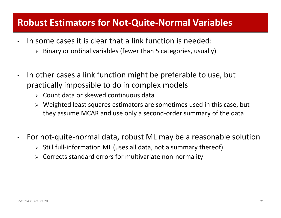### **Robust Estimators for Not‐Quite‐Normal Variables**

- • $\bullet$  In some cases it is clear that a link function is needed:
	- $\triangleright$  Binary or ordinal variables (fewer than 5 categories, usually)
- $\bullet$ • In other cases a link function might be preferable to use, but practically impossible to do in complex models
	- Count data or skewed continuous data
	- $\triangleright$  Weighted least squares estimators are sometimes used in this case, but they assume MCAR and use only <sup>a</sup> second‐order summary of the data
- $\bullet$ For not-quite-normal data, robust ML may be a reasonable solution
	- Still full‐information ML (uses all data, not <sup>a</sup> summary thereof)
	- Corrects standard errors for multivariate non‐normality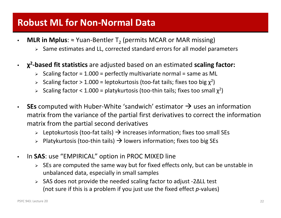### **Robust ML for Non‐Normal Data**

- •• MLR in Mplus: ≈ Yuan-Bentler T<sub>2</sub> (permits MCAR or MAR missing)
	- $\triangleright$  Same estimates and LL, corrected standard errors for all model parameters
- $\bullet$  **χ<sup>2</sup>‐based fit statistics** are adjusted based on an estimated **scaling factor:**
	- $\triangleright$  Scaling factor = 1.000 = perfectly multivariate normal = same as ML
	- > Scaling factor > 1.000 = leptokurtosis (too-fat tails; fixes too big  $\chi^2$ )
	- Scaling factor < 1.000 = platykurtosis (too-thin tails; fixes too small  $\chi^2$ )
- •• SEs computed with Huber-White 'sandwich' estimator  $\rightarrow$  uses an information matrix from the variance of the partial first derivatives to correct the information matrix from the partial second derivatives
	- > Leptokurtosis (too-fat tails)  $\rightarrow$  increases information; fixes too small SEs
	- > Platykurtosis (too-thin tails)  $\rightarrow$  lowers information; fixes too big SEs
- • In **SAS**: use "EMPIRICAL" option in PROC MIXED line
	- $\triangleright$  SEs are computed the same way but for fixed effects only, but can be unstable in unbalanced data, especially in small samples
	- SAS does not provide the needed scaling factor to adjust ‐2ΔLL test (not sure if this is <sup>a</sup> problem if you just use the fixed effect *p*‐values)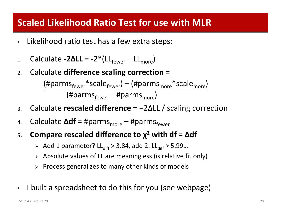### **Scaled Likelihood Ratio Test for use with MLR**

- •Likelihood ratio test has <sup>a</sup> few extra steps:
- 1.Calculate **‐2ΔLL** <sup>=</sup> ‐2\*(LLfewer – LLmore)
- 2.Calculate **difference scaling correction** <sup>=</sup>

 $(\text{\#params}_{\text{fewer}}^* \text{scale}_{\text{fewer}}) - (\text{\#params}_{\text{more}}^* \text{scale}_{\text{more}})$ (#parms<sub>fewer</sub> – #parms<sub>more</sub>)

- 3.**Calculate rescaled difference** = -2ΔLL / scaling correction
- 4.. Calculate **Δdf** = #parms<sub>more</sub> – #parms<sub>fewer</sub>
- **5. Compare rescaled difference to χ<sup>2</sup> with df <sup>=</sup> Δdf**
	- > Add 1 parameter? LL<sub>diff</sub> > 3.84, add 2: LL<sub>diff</sub> > 5.99...
	- $\triangleright$  Absolute values of LL are meaningless (is relative fit only)
	- $\triangleright$  Process generalizes to many other kinds of models
- $\bullet$ • I built a spreadsheet to do this for you (see webpage)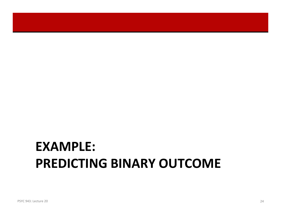# **EXAMPLE: PREDICTING BINARY OUTCOME**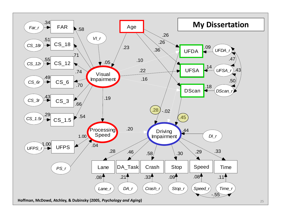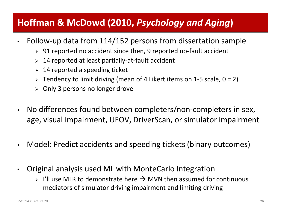## **Hoffman & McDowd (2010,** *Psychology and Aging***)**

- $\bullet$  Follow‐up data from 114/152 persons from dissertation sample
	- 91 reported no accident since then, 9 reported no‐fault accident
	- 14 reported at least partially‐at‐fault accident
	- $>$  14 reported a speeding ticket
	- Tendency to limit driving (mean of 4 Likert items on 1‐5 scale, 0 <sup>=</sup> 2)
	- Only 3 persons no longer drove
- $\bullet$  No differences found between completers/non‐completers in sex, age, visual impairment, UFOV, DriverScan, or simulator impairment
- $\bullet$ Model: Predict accidents and speeding tickets (binary outcomes)
- $\bullet$  Original analysis used ML with MonteCarlo Integration
	- $>$  I'll use MLR to demonstrate here  $\rightarrow$  MVN then assumed for continuous mediators of simulator driving impairment and limiting driving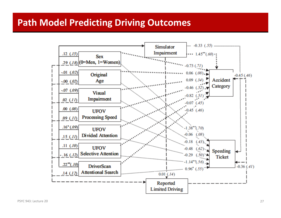### **Path Model Predicting Driving Outcomes**

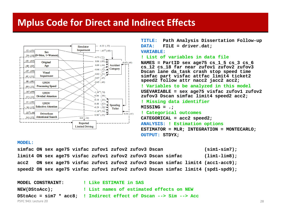### **Mplus Code for Direct and Indirect Effects**



**TITLE: Path Analysis Dissertation Follow-up DATA: FILE = driver.dat; VARIABLE:! List of variables in data fileNAMES = PartID sex age75 cs\_1\_5 cs\_3 cs\_6 cs\_12 cs\_18 far near zufov1 zufov2 zufov3 Dscan lane da\_task crash stop speed time simfac part visfac attfac limit4 ticket2 speed2 follow attr nacc2 jacc2 acc2; ! Variables to be analyzed in this model USEVARIABLE = sex age75 visfac zufov1 zufov2 zufov3 Dscan simfac limit4 speed2 acc2; ! Missing data identifier MISSING = .; ! Categorical outcomes CATEGORICAL = acc2 speed2; ANALYSIS: ! Estimation options ESTIMATOR = MLR; INTEGRATION = MONTECARLO; OUTPUT: STDYX;**

#### **MODEL:**

**simfac ON sex age75 visfac zufov1 zufov2 zufov3 Dscan (sim1-sim7); limit4 ON sex age75 visfac zufov1 zufov2 zufov3 Dscan simfac (lim1-lim8); acc2 ON sex age75 visfac zufov1 zufov2 zufov3 Dscan simfac limit4 (acc1-acc9); speed2 ON sex age75 visfac zufov1 zufov2 zufov3 Dscan simfac limit4 (spd1-spd9);**

| <b>MODEL CONSTRAINT:</b> | ! Like ESTIMATE in SAS                                            |    |
|--------------------------|-------------------------------------------------------------------|----|
| NEW(DStoAcc);            | ! List names of estimated effects on NEW                          |    |
|                          | DStoAcc = sim7 * acc8; ! Indirect effect of Dscan --> Sim --> Acc |    |
| PSYC 943: Lecture 20     |                                                                   | 28 |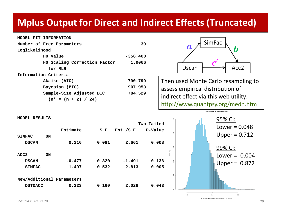### **Mplus Output for Direct and Indirect Effects (Truncated)**

**MODEL FIT INFORMATION**

| Number of Free Parameters    | 39         |  |  |  |  |  |
|------------------------------|------------|--|--|--|--|--|
| Loglikelihood                |            |  |  |  |  |  |
| HO Value                     | $-356.400$ |  |  |  |  |  |
| HO Scaling Correction Factor | 1.0066     |  |  |  |  |  |
| for MLR                      |            |  |  |  |  |  |
| Information Criteria         |            |  |  |  |  |  |
| Akaike (AIC)                 | 790.799    |  |  |  |  |  |
| Bayesian (BIC)               | 907.953    |  |  |  |  |  |
| Sample-Size Adjusted BIC     | 784.529    |  |  |  |  |  |
| $(n* = (n + 2) / 24)$        |            |  |  |  |  |  |
|                              |            |  |  |  |  |  |



Then used Monte Carlo resampling to assess empirical distribution of indirect effect via this web utility: http://www.quantpsy.org/medn.htm